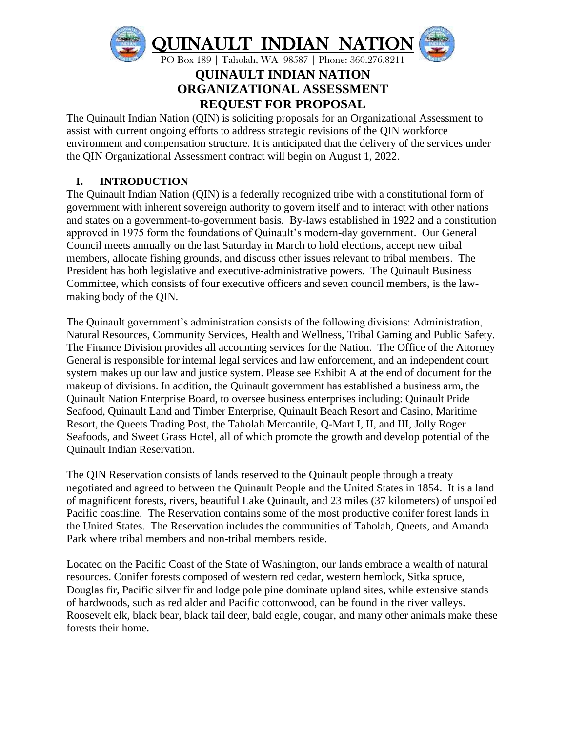

# **QUINAULT INDIAN NATION ORGANIZATIONAL ASSESSMENT REQUEST FOR PROPOSAL**

The Quinault Indian Nation (QIN) is soliciting proposals for an Organizational Assessment to assist with current ongoing efforts to address strategic revisions of the QIN workforce environment and compensation structure. It is anticipated that the delivery of the services under the QIN Organizational Assessment contract will begin on August 1, 2022.

# **I. INTRODUCTION**

The Quinault Indian Nation (QIN) is a federally recognized tribe with a constitutional form of government with inherent sovereign authority to govern itself and to interact with other nations and states on a government-to-government basis. By-laws established in 1922 and a constitution approved in 1975 form the foundations of Quinault's modern-day government. Our General Council meets annually on the last Saturday in March to hold elections, accept new tribal members, allocate fishing grounds, and discuss other issues relevant to tribal members. The President has both legislative and executive-administrative powers. The Quinault Business Committee, which consists of four executive officers and seven council members, is the lawmaking body of the QIN.

The Quinault government's administration consists of the following divisions: Administration, Natural Resources, Community Services, Health and Wellness, Tribal Gaming and Public Safety. The Finance Division provides all accounting services for the Nation. The Office of the Attorney General is responsible for internal legal services and law enforcement, and an independent court system makes up our law and justice system. Please see Exhibit A at the end of document for the makeup of divisions. In addition, the Quinault government has established a business arm, the Quinault Nation Enterprise Board, to oversee business enterprises including: Quinault Pride Seafood, Quinault Land and Timber Enterprise, Quinault Beach Resort and Casino, Maritime Resort, the Queets Trading Post, the Taholah Mercantile, Q-Mart I, II, and III, Jolly Roger Seafoods, and Sweet Grass Hotel, all of which promote the growth and develop potential of the Quinault Indian Reservation.

The QIN Reservation consists of lands reserved to the Quinault people through a treaty negotiated and agreed to between the Quinault People and the United States in 1854. It is a land of magnificent forests, rivers, beautiful Lake Quinault, and 23 miles (37 kilometers) of unspoiled Pacific coastline. The Reservation contains some of the most productive conifer forest lands in the United States. The Reservation includes the communities of Taholah, Queets, and Amanda Park where tribal members and non-tribal members reside.

Located on the Pacific Coast of the State of Washington, our lands embrace a wealth of natural resources. Conifer forests composed of western red cedar, western hemlock, Sitka spruce, Douglas fir, Pacific silver fir and lodge pole pine dominate upland sites, while extensive stands of hardwoods, such as red alder and Pacific cottonwood, can be found in the river valleys. Roosevelt elk, black bear, black tail deer, bald eagle, cougar, and many other animals make these forests their home.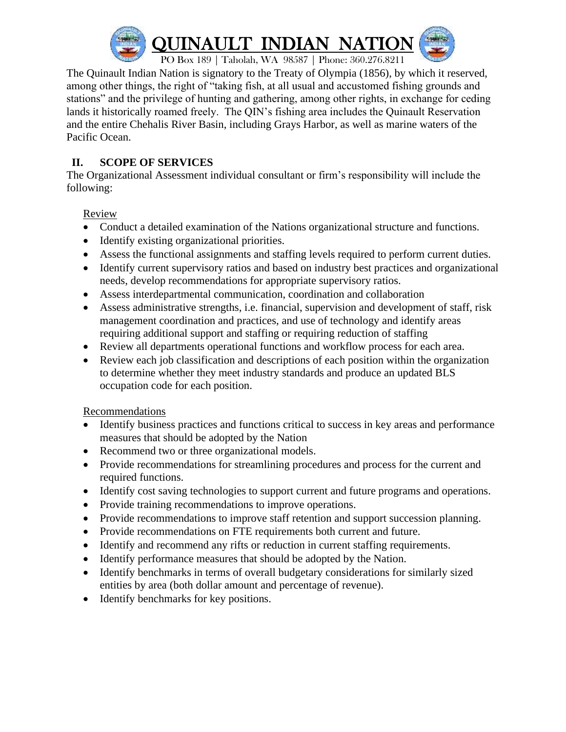

The Quinault Indian Nation is signatory to the Treaty of Olympia (1856), by which it reserved, among other things, the right of "taking fish, at all usual and accustomed fishing grounds and stations" and the privilege of hunting and gathering, among other rights, in exchange for ceding lands it historically roamed freely. The QIN's fishing area includes the Quinault Reservation and the entire Chehalis River Basin, including Grays Harbor, as well as marine waters of the Pacific Ocean.

## **II. SCOPE OF SERVICES**

The Organizational Assessment individual consultant or firm's responsibility will include the following:

Review

- Conduct a detailed examination of the Nations organizational structure and functions.
- Identify existing organizational priorities.
- Assess the functional assignments and staffing levels required to perform current duties.
- Identify current supervisory ratios and based on industry best practices and organizational needs, develop recommendations for appropriate supervisory ratios.
- Assess interdepartmental communication, coordination and collaboration
- Assess administrative strengths, i.e. financial, supervision and development of staff, risk management coordination and practices, and use of technology and identify areas requiring additional support and staffing or requiring reduction of staffing
- Review all departments operational functions and workflow process for each area.
- Review each job classification and descriptions of each position within the organization to determine whether they meet industry standards and produce an updated BLS occupation code for each position.

Recommendations

- Identify business practices and functions critical to success in key areas and performance measures that should be adopted by the Nation
- Recommend two or three organizational models.
- Provide recommendations for streamlining procedures and process for the current and required functions.
- Identify cost saving technologies to support current and future programs and operations.
- Provide training recommendations to improve operations.
- Provide recommendations to improve staff retention and support succession planning.
- Provide recommendations on FTE requirements both current and future.
- Identify and recommend any rifts or reduction in current staffing requirements.
- Identify performance measures that should be adopted by the Nation.
- Identify benchmarks in terms of overall budgetary considerations for similarly sized entities by area (both dollar amount and percentage of revenue).
- Identify benchmarks for key positions.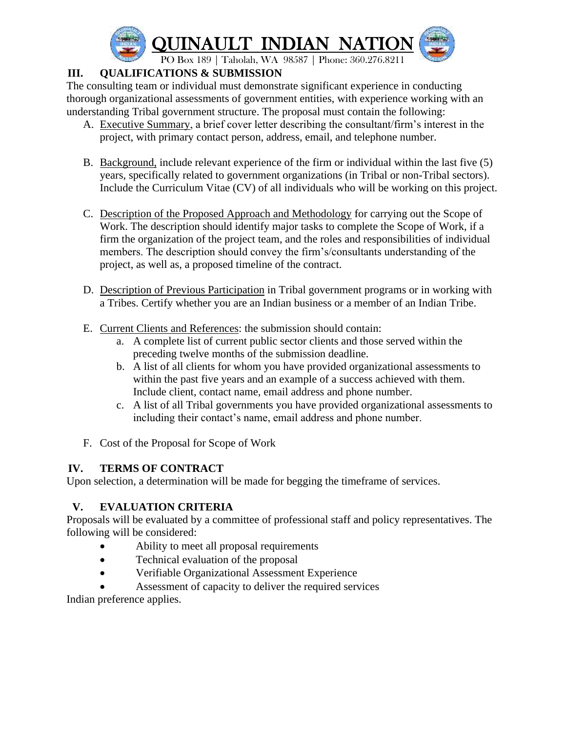

# **III. QUALIFICATIONS & SUBMISSION**

The consulting team or individual must demonstrate significant experience in conducting thorough organizational assessments of government entities, with experience working with an understanding Tribal government structure. The proposal must contain the following:

- A. Executive Summary, a brief cover letter describing the consultant/firm's interest in the project, with primary contact person, address, email, and telephone number.
- B. Background, include relevant experience of the firm or individual within the last five (5) years, specifically related to government organizations (in Tribal or non-Tribal sectors). Include the Curriculum Vitae (CV) of all individuals who will be working on this project.
- C. Description of the Proposed Approach and Methodology for carrying out the Scope of Work. The description should identify major tasks to complete the Scope of Work, if a firm the organization of the project team, and the roles and responsibilities of individual members. The description should convey the firm's/consultants understanding of the project, as well as, a proposed timeline of the contract.
- D. Description of Previous Participation in Tribal government programs or in working with a Tribes. Certify whether you are an Indian business or a member of an Indian Tribe.
- E. Current Clients and References: the submission should contain:
	- a. A complete list of current public sector clients and those served within the preceding twelve months of the submission deadline.
	- b. A list of all clients for whom you have provided organizational assessments to within the past five years and an example of a success achieved with them. Include client, contact name, email address and phone number.
	- c. A list of all Tribal governments you have provided organizational assessments to including their contact's name, email address and phone number.
- F. Cost of the Proposal for Scope of Work

# **IV. TERMS OF CONTRACT**

Upon selection, a determination will be made for begging the timeframe of services.

# **V. EVALUATION CRITERIA**

Proposals will be evaluated by a committee of professional staff and policy representatives. The following will be considered:

- Ability to meet all proposal requirements
- Technical evaluation of the proposal
- Verifiable Organizational Assessment Experience
- Assessment of capacity to deliver the required services

Indian preference applies.